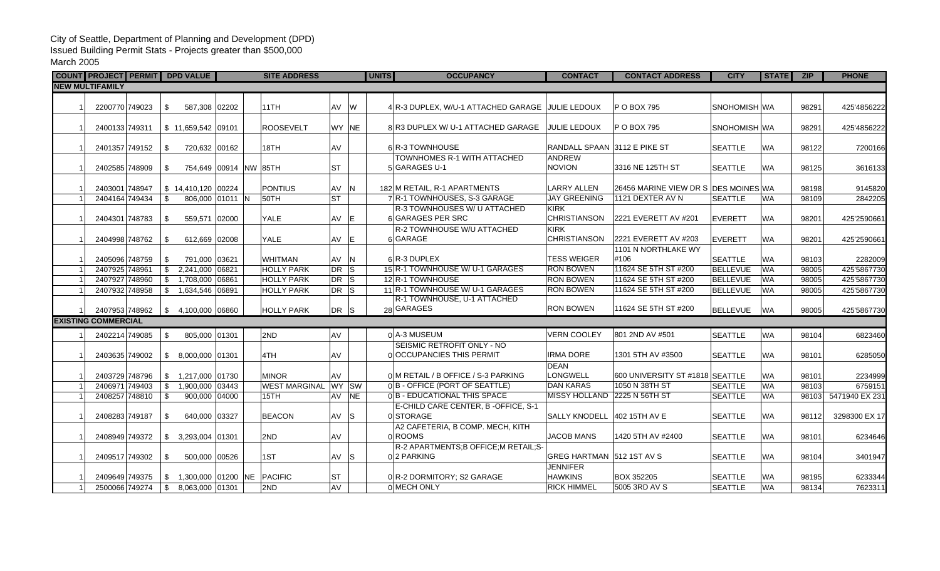## City of Seattle, Department of Planning and Development (DPD) Issued Building Permit Stats - Projects greater than \$500,000 March 2005

|                        | COUNT PROJECT PERMIT DPD VALUE |  |               |                            | <b>SITE ADDRESS</b>  |           | <b>UNITS</b> | <b>OCCUPANCY</b>                                             | <b>CONTACT</b>                     | <b>CONTACT ADDRESS</b>               | <b>CITY</b>     | <b>STATE</b> | <b>ZIP</b> | <b>PHONE</b>   |
|------------------------|--------------------------------|--|---------------|----------------------------|----------------------|-----------|--------------|--------------------------------------------------------------|------------------------------------|--------------------------------------|-----------------|--------------|------------|----------------|
| <b>NEW MULTIFAMILY</b> |                                |  |               |                            |                      |           |              |                                                              |                                    |                                      |                 |              |            |                |
|                        | 2200770 749023                 |  | \$            | 587,308 02202              | 11TH                 | AV W      |              | 4 R-3 DUPLEX, W/U-1 ATTACHED GARAGE                          | IJULIE LEDOUX                      | P O BOX 795                          | SNOHOMISH WA    |              | 98291      | 425'4856222    |
|                        | 2400133 749311                 |  |               | $$11,659,542$ 09101        | <b>ROOSEVELT</b>     | WY NE     |              | 8 R3 DUPLEX W/ U-1 ATTACHED GARAGE                           | <b>JULIE LEDOUX</b>                | P O BOX 795                          | SNOHOMISH WA    |              | 98291      | 425'4856222    |
|                        | 2401357 749152                 |  | \$            | 720,632 00162              | 18TH                 | lav       |              | 6 R-3 TOWNHOUSE                                              | RANDALL SPAAN 3112 E PIKE ST       |                                      | <b>SEATTLE</b>  | <b>WA</b>    | 98122      | 7200166        |
|                        | 2402585 748909                 |  | \$            | 754,649 00914 NW 85TH      |                      | lst       |              | TOWNHOMES R-1 WITH ATTACHED<br>5 GARAGES U-1                 | ANDREW<br><b>NOVION</b>            | 3316 NE 125TH ST                     | <b>SEATTLE</b>  | <b>WA</b>    | 98125      | 3616133        |
|                        | 2403001 748947                 |  |               | $$14,410,120$ 00224        | <b>PONTIUS</b>       | AV N      |              | 182 M RETAIL, R-1 APARTMENTS                                 | <b>LARRY ALLEN</b>                 | 26456 MARINE VIEW DR S DES MOINES WA |                 |              | 98198      | 9145820        |
|                        | 2404164 749434                 |  | \$            | 806,000 01011 N            | 50TH                 | lst       |              | 7 R-1 TOWNHOUSES, S-3 GARAGE                                 | <b>JAY GREENING</b>                | 1121 DEXTER AV N                     | <b>SEATTLE</b>  | <b>WA</b>    | 98109      | 2842205        |
|                        | 2404301 748783                 |  | -\$           | 559,571 02000              | <b>YALE</b>          | AV E      |              | R-3 TOWNHOUSES W/ U ATTACHED<br>6 GARAGES PER SRC            | <b>KIRK</b><br><b>CHRISTIANSON</b> | 2221 EVERETT AV #201                 | <b>EVERETT</b>  | <b>WA</b>    | 98201      | 425'2590661    |
|                        | 2404998 748762                 |  | \$            | 612,669 02008              | <b>YALE</b>          | AV E      |              | R-2 TOWNHOUSE W/U ATTACHED<br>6 GARAGE                       | <b>KIRK</b><br>CHRISTIANSON        | 2221 EVERETT AV #203                 | <b>EVERETT</b>  | <b>WA</b>    | 98201      | 425'2590661    |
|                        | 2405096 748759                 |  | \$            | 791,000 03621              | <b>WHITMAN</b>       | AV N      |              | 6R-3 DUPLEX                                                  | <b>TESS WEIGER</b>                 | 1101 N NORTHLAKE WY<br>#106          | <b>SEATTLE</b>  | <b>WA</b>    | 98103      | 2282009        |
|                        | 2407925 748961                 |  | \$            | 2,241,000 06821            | <b>HOLLY PARK</b>    | DR        | ls.          | 15 R-1 TOWNHOUSE W/ U-1 GARAGES                              | <b>RON BOWEN</b>                   | 11624 SE 5TH ST #200                 | <b>BELLEVUE</b> | <b>WA</b>    | 98005      | 425'5867730    |
|                        | 2407927 748960                 |  | $\mathbb{S}$  | 1,708,000 06861            | <b>HOLLY PARK</b>    | $DR$ $S$  |              | 12 R-1 TOWNHOUSE                                             | <b>RON BOWEN</b>                   | 11624 SE 5TH ST #200                 | <b>BELLEVUE</b> | WA           | 98005      | 425'5867730    |
|                        | 2407932 748958                 |  | \$            | 1,634,546 06891            | <b>HOLLY PARK</b>    | DR S      |              | 11 R-1 TOWNHOUSE W/ U-1 GARAGES                              | RON BOWEN                          | 11624 SE 5TH ST #200                 | <b>BELLEVUE</b> | <b>WA</b>    | 98005      | 425'5867730    |
|                        | 2407953 748962                 |  |               | $$4,100,000$ 06860         | <b>HOLLY PARK</b>    | DR S      |              | R-1 TOWNHOUSE, U-1 ATTACHED<br>28 GARAGES                    | RON BOWEN                          | 11624 SE 5TH ST #200                 | <b>BELLEVUE</b> | <b>WA</b>    | 98005      | 425'5867730    |
|                        | <b>EXISTING COMMERCIAL</b>     |  |               |                            |                      |           |              |                                                              |                                    |                                      |                 |              |            |                |
|                        | 2402214 749085                 |  | \$            | 805,000 01301              | 2ND                  | AV        |              | 0 A-3 MUSEUM                                                 | <b>VERN COOLEY</b>                 | 801 2ND AV #501                      | <b>SEATTLE</b>  | <b>WA</b>    | 98104      | 6823460        |
|                        | 2403635 749002                 |  | \$            | 8,000,000 01301            | 4TH                  | <b>AV</b> |              | SEISMIC RETROFIT ONLY - NO<br>0 OCCUPANCIES THIS PERMIT      | <b>IRMA DORE</b>                   | 1301 5TH AV #3500                    | <b>SEATTLE</b>  | <b>WA</b>    | 98101      | 6285050        |
|                        |                                |  |               |                            |                      |           |              |                                                              | <b>DEAN</b>                        |                                      |                 |              |            |                |
|                        | 2403729 748796                 |  | \$            | 1,217,000 01730            | <b>MINOR</b>         | <b>AV</b> |              | 0 M RETAIL / B OFFICE / S-3 PARKING                          | LONGWELL<br><b>DAN KARAS</b>       | 600 UNIVERSITY ST #1818 SEATTLE      |                 | <b>WA</b>    | 98101      | 2234999        |
|                        | 2406971 749403                 |  | \$            | 1,900,000 03443            | <b>WEST MARGINAL</b> | WY SW     |              | 0B - OFFICE (PORT OF SEATTLE)<br>0B - EDUCATIONAL THIS SPACE | MISSY HOLLAND 2225 N 56TH ST       | 1050 N 38TH ST                       | <b>SEATTLE</b>  | <b>WA</b>    | 98103      | 6759151        |
|                        | 2408257 748810                 |  | \$            | 900,000 04000              | 15TH                 | AV        | NE           | E-CHILD CARE CENTER, B-OFFICE, S-1                           |                                    |                                      | <b>SEATTLE</b>  | <b>WA</b>    | 98103      | 5471940 EX 231 |
|                        | 2408283 749187                 |  | \$            | 640,000 03327              | <b>BEACON</b>        | AV S      |              | 0 STORAGE                                                    | <b>SALLY KNODELL</b>               | 402 15TH AV E                        | <b>SEATTLE</b>  | <b>WA</b>    | 98112      | 3298300 EX 17  |
|                        | 2408949 749372                 |  | \$            | 3,293,004 01301            | 2ND                  | <b>AV</b> |              | A2 CAFETERIA, B COMP. MECH, KITH<br>0 ROOMS                  | <b>JACOB MANS</b>                  | 1420 5TH AV #2400                    | <b>SEATTLE</b>  | <b>WA</b>    | 98101      | 6234646        |
|                        | 2409517 749302                 |  | \$            | 500,000 00526              | 1ST                  | AV S      |              | R-2 APARTMENTS; B OFFICE; M RETAIL; S-<br>02 PARKING         | GREG HARTMAN 512 1ST AV S          |                                      | <b>SEATTLE</b>  | <b>WA</b>    | 98104      | 3401947        |
|                        | 2409649 749375                 |  | \$            | 1,300,000 01200 NE PACIFIC |                      | <b>ST</b> |              | 0 R-2 DORMITORY; S2 GARAGE                                   | <b>JENNIFER</b><br><b>HAWKINS</b>  | BOX 352205                           | <b>SEATTLE</b>  | <b>WA</b>    | 98195      | 6233344        |
|                        | 2500066 749274                 |  | $\mathfrak s$ | 8,063,000 01301            | 2ND                  | AV        |              | 0 MECH ONLY                                                  | <b>RICK HIMMEL</b>                 | 5005 3RD AV S                        | <b>SEATTLE</b>  | <b>WA</b>    | 98134      | 7623311        |